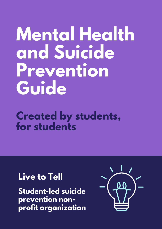# **Mental Health and Suicide Prevention Guide**

### **Created by students, for students**

### **Live to Tell**

**Student-led suicide prevention nonprofit organization**

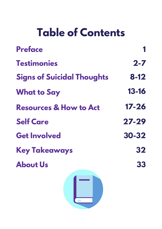# **Table of Contents**

| <b>Preface</b>                    |           |
|-----------------------------------|-----------|
| <b>Testimonies</b>                | $2 - 7$   |
| <b>Signs of Suicidal Thoughts</b> | $8 - 12$  |
| <b>What to Say</b>                | $13 - 16$ |
| <b>Resources &amp; How to Act</b> | $17 - 26$ |
| <b>Self Care</b>                  | $27 - 29$ |
| <b>Get Involved</b>               | $30 - 32$ |
| <b>Key Takeaways</b>              | 32        |
| <b>About Us</b>                   | 33        |
|                                   |           |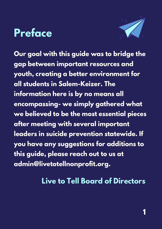# **Preface**



**Our goal with this guide was to bridge the gap between important resources and youth, creating a better environment for all students in Salem-Keizer. The information here is by no means all encompassing- we simply gathered what we believed to be the most essential pieces after meeting with several important leaders in suicide prevention statewide. If you have any suggestions for additions to this guide, please reach out to us at admin@livetotellnonprofit.org.**

### **Live to Tell Board of Directors**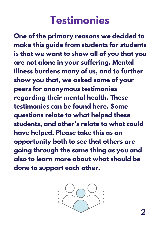# **Testimonies**

**One of the primary reasons we decided to make this guide from students for students is that we want to show all of you that you are not alone in your suffering. Mental illness burdens many of us, and to further show you that, we asked some of your peers for anonymous testimonies regarding their mental health. These testimonies can be found here. Some questions relate to what helped these students, and other's relate to what could have helped. Please take this as an opportunity both to see that others are going through the same thing as you and also to learn more about what should be done to support each other.**

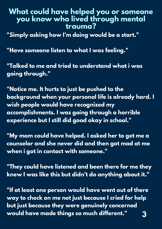#### **What could have helped you or someone you know who lived through mental trauma?**

**"Simply asking how I'm doing would be a start."**

**"Have someone listen to what I was feeling."**

**"Talked to me and tried to understand what i was going through."**

**"Notice me. It hurts to just be pushed to the background when your personal life is already hard. I wish people would have recognized my accomplishments. I was going through a horrible experience but I still did good okay in school."**

**"My mom could have helped. I asked her to get me a counselor and she never did and then got mad at me when i got in contact with someone."**

**"They could have listened and been there for me they knew I was like this but didn't do anything about it."**

**"If at least one person would have went out of there way to check on me not just because I cried for help but just because they were genuinely concerned would have made things so much different." 3**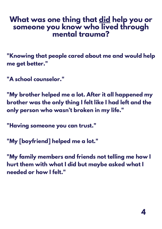### **What was one thing that did help you or someone you know who lived through mental trauma?**

**"Knowing that people cared about me and would help me get better."**

**"A school counselor."**

**"My brother helped me a lot. After it all happened my brother was the only thing I felt like I had left and the only person who wasn't broken in my life."**

**"Having someone you can trust."**

**"My [boyfriend] helped me a lot."**

**"My family members and friends not telling me how I hurt them with what I did but maybe asked what I needed or how I felt."**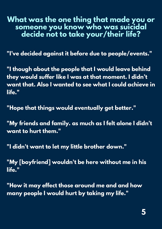### **What was the one thing that made you or someone you know who was suicidal decide not to take your/their life?**

**"I've decided against it before due to people/events."**

**"I though about the people that I would leave behind they would suffer like I was at that moment. I didn't want that. Also I wanted to see what I could achieve in life."**

**"Hope that things would eventually get better."**

**"My friends and family. as much as I felt alone I didn't want to hurt them."**

**"I didn't want to let my little brother down."**

**"My [boyfriend] wouldn't be here without me in his life."**

**"How it may effect those around me and and how many people I would hurt by taking my life."**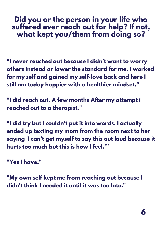### **Did you or the person in your life who suffered ever reach out for help? If not, what kept you/them from doing so?**

**"I never reached out because I didn't want to worry others instead or lower the standard for me. I worked for my self and gained my self-love back and here I still am today happier with a healthier mindset."**

**"I did reach out. A few months After my attempt i reached out to a therapist."**

**"I did try but I couldn't put it into words. I actually ended up texting my mom from the room next to her saying 'I can't get myself to say this out loud because it hurts too much but this is how I feel.'"**

**"Yes I have."**

**"My own self kept me from reaching out because I didn't think I needed it until it was too late."**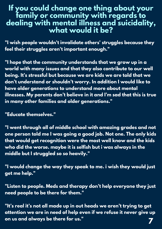### **If you could change one thing about your family or community with regards to dealing with mental illness and suicidality, what would it be?**

**"I wish people wouldn't invalidate others' struggles because they feel their struggles aren't important enough."**

**"I hope that the community understands that we grow up in a world with many issues and that they also contribute to our well being. It's stressful but because we are kids we are told that we don't understand or shouldn't worry. In addition I would like to have older generations to understand more about mental illnesses. My parents don't believe in it and I'm sad that this is true in many other families and older generations."**

**"Educate themselves."**

**"I went through all of middle school with amazing grades and not one person told me I was going a good job. Not one. The only kids that would get recognition were the most well know and the kids who did the worse. maybe it is selfish but i was always in the middle but I struggled so so heavily."**

**"I would change the way they speak to me. i wish they would just get me help."**

**"Listen to people. Meds and therapy don't help everyone they just need people to be there for them."**

**"It's real it's not all made up in out heads we aren't trying to get attention we are in need of help even if we refuse it never give up on us and always be there for us." 7**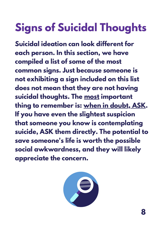# **Signs of Suicidal Thoughts**

**Suicidal ideation can look different for each person. In this section, we have compiled a list of some of the most common signs. Just because someone is not exhibiting a sign included on this list does not mean that they are not having suicidal thoughts. The most important thing to remember is: when in doubt, ASK. If you have even the slightest suspicion that someone you know is contemplating suicide, ASK them directly. The potential to save someone's life is worth the possible social awkwardness, and they will likely appreciate the concern.**

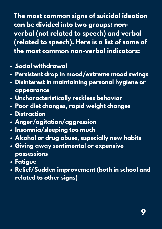**The most common signs of suicidal ideation can be divided into two groups: nonverbal (not related to speech) and verbal (related to speech). Here is a list of some of the most common non-verbal indicators:**

- **Social withdrawal**
- **Persistent drop in mood/extreme mood swings**
- **Disinterest in maintaining personal hygiene or appearance**
- **Uncharacteristically reckless behavior**
- **Poor diet changes, rapid weight changes**
- **Distraction**
- **Anger/agitation/aggression**
- **Insomnia/sleeping too much**
- **Alcohol or drug abuse, especially new habits**
- **Giving away sentimental or expensive possessions**
- **Fatigue**
- **Relief/Sudden improvement (both in school and related to other signs)**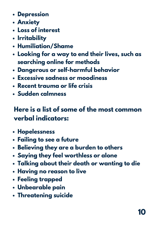- **Depression**
- **Anxiety**
- **Loss of interest**
- **Irritability**
- **Humiliation/Shame**
- **Looking for a way to end their lives, such as searching online for methods**
- **Dangerous or self-harmful behavior**
- **Excessive sadness or moodiness**
- **Recent trauma or life crisis**
- **Sudden calmness**

### **Here is a list of some of the most common verbal indicators:**

- **Hopelessness**
- **Failing to see a future**
- **Believing they are a burden to others**
- **Saying they feel worthless or alone**
- **Talking about their death or wanting to die**
- **Having no reason to live**
- **Feeling trapped**
- **Unbearable pain**
- **Threatening suicide**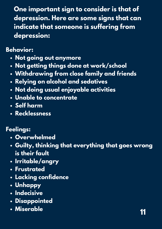**One important sign to consider is that of depression. Here are some signs that can indicate that someone is suffering from depression:**

**Behavior:**

- **Not going out anymore**
- **Not getting things done at work/school**
- **Withdrawing from close family and friends**
- **Relying on alcohol and sedatives**
- **Not doing usual enjoyable activities**
- **Unable to concentrate**
- **Self harm**
- **Recklessness**

#### **Feelings:**

- **Overwhelmed**
- **Guilty, thinking that everything that goes wrong is their fault**
- **Irritable/angry**
- **Frustrated**
- **Lacking confidence**
- **Unhappy**
- **Indecisive**
- **Disappointed**
- **Miserable**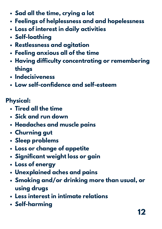- **Sad all the time, crying a lot**
- **Feelings of helplessness and and hopelessness**
- **Loss of interest in daily activities**
- **Self-loathing**
- **Restlessness and agitation**
- **Feeling anxious all of the time**
- **Having difficulty concentrating or remembering things**
- **Indecisiveness**
- **Low self-confidence and self-esteem**

### **Physical:**

- **Tired all the time**
- **Sick and run down**
- **Headaches and muscle pains**
- **Churning gut**
- **Sleep problems**
- **Loss or change of appetite**
- **Significant weight loss or gain**
- **Loss of energy**
- **Unexplained aches and pains**
- **Smoking and/or drinking more than usual, or using drugs**
- **Less interest in intimate relations**
- **Self-harming**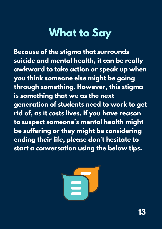# **What to Say**

**Because of the stigma that surrounds suicide and mental health, it can be really awkward to take action or speak up when you think someone else might be going through something. However, this stigma is something that we as the next generation of students need to work to get rid of, as it costs lives. If you have reason to suspect someone's mental health might be suffering or they might be considering ending their life, please don't hesitate to start a conversation using the below tips.**

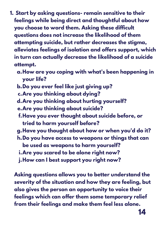- **Start by asking questions- remain sensitive to their 1. feelings while being direct and thoughtful about how you choose to word them. Asking these difficult questions does not increase the likelihood of them attempting suicide, but rather decreases the stigma, alleviates feelings of isolation and offers support, which in turn can actually decrease the likelihood of a suicide attempt.**
	- **How are you coping with what's been happening in a. your life?**
	- **Do you ever feel like just giving up? b.**
	- **Are you thinking about dying? c.**
	- **Are you thinking about hurting yourself? d.**
	- **Are you thinking about suicide? e.**
	- **Have you ever thought about suicide before, or f. tried to harm yourself before?**
	- **Have you thought about how or when you'd do it? g.**
	- **Do you have access to weapons or things that can h. be used as weapons to harm yourself?**
		- **Are you scared to be alone right now? i.**
	- **How can I best support you right now? j.**

**Asking questions allows you to better understand the severity of the situation and how they are feeling, but also gives the person an opportunity to voice their feelings which can offer them some temporary relief from their feelings and make them feel less alone.**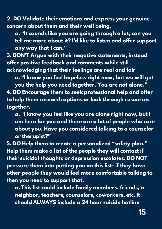**2. DO Validate their emotions and express your genuine concern about them and their well being.**

**a. "It sounds like you are going through a lot, can you tell me more about it? I'd like to listen and offer support any way that I can."**

**3. DON'T Argue with their negative statements, instead offer positive feedback and comments while still acknowledging that their feelings are real and fair**

**a. "I know you feel hopeless right now, but we will get**

**you the help you need together. You are not alone." 4. DO Encourage them to seek professional help and offer to help them research options or look through resources together.**

**a. "I know you feel like you are alone right now, but I am here for you and there are a lot of people who care about you. Have you considered talking to a counselor or therapist?"**

**5. DO Help them to create a personalized "safety plan." Help them make a list of the people they will contact if their suicidal thoughts or depression escalates. DO NOT pressure them into putting you on this list- if they have other people they would feel more comfortable talking to then you need to support that.**

**a. This list could include family members, friends, a neighbor, teachers, counselors, coworkers, etc. It should ALWAYS include a 24 hour suicide hotline**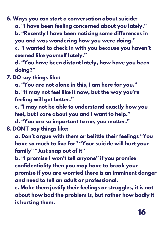**6. Ways you can start a conversation about suicide: a. "I have been feeling concerned about you lately." b. "Recently I have been noticing some differences in you and was wondering how you were doing."**

**c. "I wanted to check in with you because you haven't seemed like yourself lately."**

**d. "You have been distant lately, how have you been doing?"**

**7. DO say things like:**

**a. "You are not alone in this, I am here for you." b. "It may not feel like it now, but the way you're feeling will get better."**

**c. "I may not be able to understand exactly how you feel, but I care about you and I want to help."**

**d. "You are so important to me, you matter." 8. DON'T say things like:**

**a. Don't argue with them or belittle their feelings "You have so much to live for" "Your suicide will hurt your family" "Just snap out of it"**

**b. "I promise I won't tell anyone" if you promise confidentiality then you may have to break your promise if you are worried there is an imminent danger and need to tell an adult or professional.**

**c. Make them justify their feelings or struggles, it is not about how bad the problem is, but rather how badly it is hurting them.**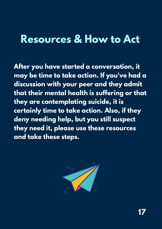### **Resources & How to Act**

**After you have started a conversation, it may be time to take action. If you've had a discussion with your peer and they admit that their mental health is suffering or that they are contemplating suicide, it is certainly time to take action. Also, if they deny needing help, but you still suspect they need it, please use these resources and take these steps.**

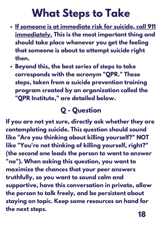# **What Steps to Take**

- **If someone is at immediate risk for suicide, call 911 immediately. This is the most important thing and should take place whenever you get the feeling that someone is about to attempt suicide right then.**
- **Beyond this, the best series of steps to take corresponds with the acronym "QPR. " These steps, taken from a suicide prevention training program created by an organization called the "QPR Institute, " are detailed below.**

### **Q - Question**

**If you are not yet sure, directly ask whether they are contemplating suicide. This question should sound like "Are you thinking about killing yourself?" NOT like "You're not thinking of killing yourself, right?" (the second one leads the person to want to answer "no"). When asking this question, you want to maximize the chances that your peer answers truthfully, so you want to sound calm and supportive, have this conversation in private, allow the person to talk freely, and be persistent about staying on topic. Keep some resources on hand for the next steps.**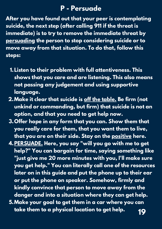### **P - Persuade**

**After you have found out that your peer is contemplating suicide, the next step (after calling 911 if the threat is immediate) is to try to remove the immediate threat by persuading the person to stop considering suicide or to move away from that situation. To do that, follow this steps:**

- **Listen to their problem with full attentiveness. This 1. shows that you care and are listening. This also means not passing any judgement and using supportive language.**
- **Make it clear that suicide is off the table. Be firm (not 2. unkind or commanding, but firm) that suicide is not an option, and that you need to get help now.**
- **Offer hope in any form that you can. Show them that 3. you really care for them, that you want them to live, that you are on their side. Stay on the positive here.**
- **PERSUADE. Here, you say "will you go with me to get 4. help?" You can bargain for time, saying something like "just give me 20 more minutes with you, I'll make sure you get help." You can literally call one of the resources later on in this guide and put the phone up to their ear or put the phone on speaker. Somehow, firmly and kindly convince that person to move away from the danger and into a situation where they can get help.**
- **Make your goal to get them in a car where you can 5. take them to a physical location to get help. 19**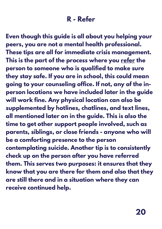### **R - Refer**

**Even though this guide is all about you helping your peers, you are not a mental health professional. These tips are all for immediate crisis management. This is the part of the process where you refer the person to someone who is qualified to make sure they stay safe. If you are in school, this could mean going to your counseling office. If not, any of the inperson locations we have included later in the guide will work fine. Any physical location can also be supplemented by hotlines, chatlines, and text lines, all mentioned later on in the guide. This is also the time to get other support people involved, such as parents, siblings, or close friends - anyone who will be a comforting presence to the person contemplating suicide. Another tip is to consistently check up on the person after you have referred them. This serves two purposes: it ensures that they know that you are there for them and also that they are still there and in a situation where they can receive continued help.**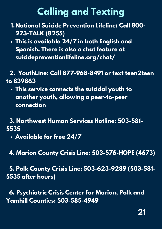### **Calling and Texting**

- **National Suicide Prevention Lifeline: Call 800- 1. 273-TALK (8255)**
- **This is available 24/7 in both English and Spanish. There is also a chat feature at suicidepreventionlifeline.org/chat/**

### **2. YouthLine: Call 877-968-8491 or text teen2teen to 839863**

**This service connects the suicidal youth to another youth, allowing a peer-to-peer connection**

#### **3. Northwest Human Services Hotline: 503-581- 5535**

- **Available for free 24/7**
- **4. Marion County Crisis Line: 503-576-HOPE (4673)**

**5. Polk County Crisis Line: 503-623-9289 (503-581- 5535 after hours)**

**6. Psychiatric Crisis Center for Marion, Polk and Yamhill Counties: 503-585-4949**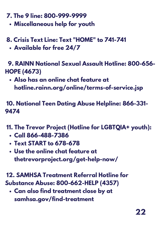- **7. The 9 line: 800-999-9999**
	- **Miscellaneous help for youth**
- **8. Crisis Text Line: Text "HOME" to 741-741**
	- **Available for free 24/7**

**9. RAINN National Sexual Assault Hotline: 800-656- HOPE (4673)**

**Also has an online chat feature at hotline.rainn.org/online/terms-of-service.jsp**

**10. National Teen Dating Abuse Helpline: 866-331- 9474**

- **11. The Trevor Project (Hotline for LGBTQIA+ youth):**
	- **Call 866-488-7386**
	- **Text START to 678-678**
	- **Use the online chat feature at thetrevorproject.org/get-help-now/**

**12. SAMHSA Treatment Referral Hotline for Substance Abuse: 800-662-HELP (4357)**

**Can also find treatment close by at samhsa.gov/find-treatment**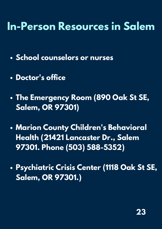# **In-Person Resources in Salem**

- **School counselors or nurses**
- **Doctor's office**
- **The Emergency Room (890 Oak St SE, Salem, OR 97301)**
- **Marion County Children's Behavioral Health (21421 Lancaster Dr., Salem 97301. Phone (503) 588-5352)**
- **Psychiatric Crisis Center (1118 Oak St SE, Salem, OR 97301.)**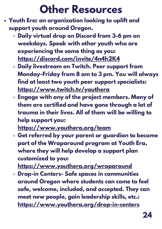# **Other Resources**

- **Youth Era: an organization looking to uplift and support youth around Oregon.**
	- **Daily virtual drop on Discord from 3-6 pm on weekdays. Speak with other youth who are experiencing the same thing as you: <https://discord.com/invite/4n4h2K4>**
	- **Daily livestream on Twitch. Peer support from Monday-Friday from 8 am to 3 pm. You will always find at least two youth peer support specialists: <https://www.twitch.tv/youthera>**
	- **Engage with any of the project members. Many of them are certified and have gone through a lot of trauma in their lives. All of them will be willing to help support you: <https://www.youthera.org/team>**

**Get referred by your parent or guardian to become part of the Wraparound program at Youth Era, where they will help develop a support plan customized to you:**

**<https://www.youthera.org/wraparound>**

**Drop-in Centers- Safe spaces in communities around Oregon where students can come to feel safe, welcome, included, and accepted. They can meet new people, gain leadership skills, etc.: <https://www.youthera.org/drop-in-centers>**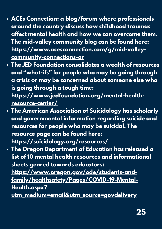- **ACEs Connection: a blog/forum where professionals around the country discuss how childhood traumas affect mental health and how we can overcome them. The mid-valley community blog can be found here: [https://www.acesconnection.com/g/mid-valley](https://www.acesconnection.com/g/mid-valley-community-connections-or)community-connections-or**
- **The JED Foundation consolidates a wealth of resources and "what-ifs" for people who may be going through a crisis or may be concerned about someone else who is going through a tough time: [https://www.jedfoundation.org/mental-health](https://www.jedfoundation.org/mental-health-resource-center/)resource-center/**
- **The American Association of Suicidology has scholarly and governmental information regarding suicide and resources for people who may be suicidal. The resource page can be found here: <https://suicidology.org/resources/>**
- **The Oregon Department of Education has released a list of 10 mental health resources and informational sheets geared towards educators: https://www.oregon.gov/ode/students-and[family/healthsafety/Pages/COVID-19-Mental-](https://www.oregon.gov/ode/students-and-family/healthsafety/Pages/COVID-19-Mental-Health.aspx?utm_medium=email&utm_source=govdelivery)Health.aspx? utm\_medium=email&utm\_source=govdelivery**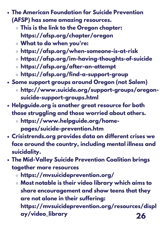- **The American [Foundation](https://www.oregon.gov/ode/students-and-family/healthsafety/Pages/COVID-19-Mental-Health.aspx?utm_medium=email&utm_source=govdelivery) for Suicide Prevention (AFSP) has some amazing resources.**
	- **This is the link to the Oregon chapter: [https://afsp.org/chapter/oregon](https://www.oregon.gov/ode/students-and-family/healthsafety/Pages/COVID-19-Mental-Health.aspx?utm_medium=email&utm_source=govdelivery)**
	- **What to do [when](https://www.oregon.gov/ode/students-and-family/healthsafety/Pages/COVID-19-Mental-Health.aspx?utm_medium=email&utm_source=govdelivery) you're:**
	- **[https://afsp.org/when-someone-is-at-risk](https://www.oregon.gov/ode/students-and-family/healthsafety/Pages/COVID-19-Mental-Health.aspx?utm_medium=email&utm_source=govdelivery)**
	- **[https://afsp.org/im-having-thoughts-of-suicide](https://www.oregon.gov/ode/students-and-family/healthsafety/Pages/COVID-19-Mental-Health.aspx?utm_medium=email&utm_source=govdelivery)**
	- **[https://afsp.org/after-an-attempt](https://www.oregon.gov/ode/students-and-family/healthsafety/Pages/COVID-19-Mental-Health.aspx?utm_medium=email&utm_source=govdelivery)**
	- **[https://afsp.org/find-a-support-group](https://www.oregon.gov/ode/students-and-family/healthsafety/Pages/COVID-19-Mental-Health.aspx?utm_medium=email&utm_source=govdelivery)**
- **Some [support](https://www.oregon.gov/ode/students-and-family/healthsafety/Pages/COVID-19-Mental-Health.aspx?utm_medium=email&utm_source=govdelivery) groups around Oregon (not Salem)**
	- **[http://www.suicide.org/support-groups/oregon](https://www.oregon.gov/ode/students-and-family/healthsafety/Pages/COVID-19-Mental-Health.aspx?utm_medium=email&utm_source=govdelivery)suicide-support-groups.html**
- **Helpguide.org is another great resource for both those struggling and those worried about others.**
	- **https://www.helpguide.org/homepages/suicide-prevention.htm**
- **Crisistrends.org provides data on different crises we face around the country, including mental illness and suicidality.**
- **The Mid-Valley Suicide Prevention Coalition brings together more resources**
	- **https://mvsuicideprevention.org/**
	- **Most notable is their video library which aims to share encouragement and show teens that they are not alone in their suffering: https://mvsuicideprevention.org/resources/displ ay/video\_library 26**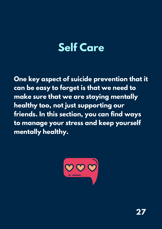# **Self Care**

**One key aspect of suicide prevention that it can be easy to forget is that we need to make sure that we are staying mentally healthy too, not just supporting our friends. In this section, you can find ways to manage your stress and keep yourself mentally healthy.**

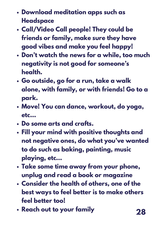- **Download [meditation](https://www.oregon.gov/ode/students-and-family/healthsafety/Pages/COVID-19-Mental-Health.aspx?utm_medium=email&utm_source=govdelivery) apps such as Headspace**
- **[Call/Video](https://www.oregon.gov/ode/students-and-family/healthsafety/Pages/COVID-19-Mental-Health.aspx?utm_medium=email&utm_source=govdelivery) Call people! They could be friends or family, make sure they have good vibes and make you feel happy!**
- **Don't watch the news for a while, too much negativity is not good for [someone's](https://www.oregon.gov/ode/students-and-family/healthsafety/Pages/COVID-19-Mental-Health.aspx?utm_medium=email&utm_source=govdelivery) health.**
- **Go [outside,](https://www.oregon.gov/ode/students-and-family/healthsafety/Pages/COVID-19-Mental-Health.aspx?utm_medium=email&utm_source=govdelivery) go for a run, take a walk alone, with family, or with friends! Go to a park.**
- **[M](https://www.oregon.gov/ode/students-and-family/healthsafety/Pages/COVID-19-Mental-Health.aspx?utm_medium=email&utm_source=govdelivery)ove! You can dance, [workout,](https://www.oregon.gov/ode/students-and-family/healthsafety/Pages/COVID-19-Mental-Health.aspx?utm_medium=email&utm_source=govdelivery) do yoga, etc…**
- **Do some arts and [crafts.](https://www.oregon.gov/ode/students-and-family/healthsafety/Pages/COVID-19-Mental-Health.aspx?utm_medium=email&utm_source=govdelivery)**
- **Fill your mind with positive thoughts and not negative ones, do what you've wanted to do such as baking, [painting,](https://www.oregon.gov/ode/students-and-family/healthsafety/Pages/COVID-19-Mental-Health.aspx?utm_medium=email&utm_source=govdelivery) music playing, etc[…](https://www.oregon.gov/ode/students-and-family/healthsafety/Pages/COVID-19-Mental-Health.aspx?utm_medium=email&utm_source=govdelivery)**
- **Take some time [away](https://www.oregon.gov/ode/students-and-family/healthsafety/Pages/COVID-19-Mental-Health.aspx?utm_medium=email&utm_source=govdelivery) from your phone, unplug and read a book or [magazine](https://www.oregon.gov/ode/students-and-family/healthsafety/Pages/COVID-19-Mental-Health.aspx?utm_medium=email&utm_source=govdelivery)**
- **[Consider](https://www.oregon.gov/ode/students-and-family/healthsafety/Pages/COVID-19-Mental-Health.aspx?utm_medium=email&utm_source=govdelivery) the health of others, one of the best ways to feel better is to make others feel better too!**
- **Reach out to your [family](https://www.oregon.gov/ode/students-and-family/healthsafety/Pages/COVID-19-Mental-Health.aspx?utm_medium=email&utm_source=govdelivery) 28**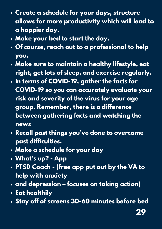- **Create a schedule for your days, structure allows for more [productivity](https://www.oregon.gov/ode/students-and-family/healthsafety/Pages/COVID-19-Mental-Health.aspx?utm_medium=email&utm_source=govdelivery) which will lead to a happier day.**
- **[Make](https://www.oregon.gov/ode/students-and-family/healthsafety/Pages/COVID-19-Mental-Health.aspx?utm_medium=email&utm_source=govdelivery) your bed to start the day.**
- **Of course, reach out to a [professional](https://www.oregon.gov/ode/students-and-family/healthsafety/Pages/COVID-19-Mental-Health.aspx?utm_medium=email&utm_source=govdelivery) to help you.**
- **Make sure to maintain a healthy lifestyle, eat right, get lots of sleep, and exercise [regularly.](https://www.oregon.gov/ode/students-and-family/healthsafety/Pages/COVID-19-Mental-Health.aspx?utm_medium=email&utm_source=govdelivery)**
- **In terms of COVID-19, gather the facts for COVID-19 so you can accurately evaluate your risk and severity of the virus for your age group. [Remember,](https://www.oregon.gov/ode/students-and-family/healthsafety/Pages/COVID-19-Mental-Health.aspx?utm_medium=email&utm_source=govdelivery) there is a difference between gathering facts and watching the news**
- **Recall past things you've done to overcome past [difficulties.](https://www.oregon.gov/ode/students-and-family/healthsafety/Pages/COVID-19-Mental-Health.aspx?utm_medium=email&utm_source=govdelivery)**
- **Make a [schedule](https://www.oregon.gov/ode/students-and-family/healthsafety/Pages/COVID-19-Mental-Health.aspx?utm_medium=email&utm_source=govdelivery) for your day**
- **[What's](https://www.oregon.gov/ode/students-and-family/healthsafety/Pages/COVID-19-Mental-Health.aspx?utm_medium=email&utm_source=govdelivery) up? - App**
- **PTSD Coach - (free app put out by the VA to help with [anxiety](https://www.oregon.gov/ode/students-and-family/healthsafety/Pages/COVID-19-Mental-Health.aspx?utm_medium=email&utm_source=govdelivery)**
- **and [depression](https://www.oregon.gov/ode/students-and-family/healthsafety/Pages/COVID-19-Mental-Health.aspx?utm_medium=email&utm_source=govdelivery) – focuses on taking action)**
- **Eat [healthily](https://www.oregon.gov/ode/students-and-family/healthsafety/Pages/COVID-19-Mental-Health.aspx?utm_medium=email&utm_source=govdelivery)**
- **Stay off of screens 30-60 [minutes](https://www.oregon.gov/ode/students-and-family/healthsafety/Pages/COVID-19-Mental-Health.aspx?utm_medium=email&utm_source=govdelivery) before bed**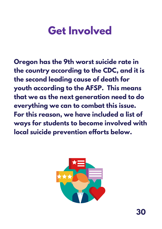# **Get Involved**

**Oregon has the 9th worst suicide rate in the country according to the CDC, and it is the second leading cause of death for youth according to the AFSP. This means that we as the next generation need to do everything we can to combat this issue. For this reason, we have included a list of ways for students to become involved with local suicide prevention efforts below.**

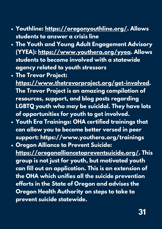- **Youthline: <https://oregonyouthline.org/>. Allows students to answer a crisis line**
- **The Youth and Young Adult Engagement Advisory (YYEA): [https://www.youthera.org/yyea.](https://www.youthera.org/yyea) Allows students to become involved with a statewide agency related to youth stressors**
- **The Trevor Project:**

**<https://www.thetrevorproject.org/get-involved>. The Trevor Project is an amazing compilation of resources, support, and blog posts regarding LGBTQ youth who may be suicidal. They have lots of opportunities for youth to get involved.**

- **Youth Era Trainings: OHA certified trainings that can allow you to become better versed in peer support: https://www.youthera.org/trainings**
- **Oregon Alliance to Prevent Suicide: [https://oregonalliancetopreventsuicide.org/.](https://oregonalliancetopreventsuicide.org/) This group is not just for youth, but motivated youth can fill out an application. This is an extension of the OHA which unifies all the suicide prevention efforts in the State of Oregon and advises the Oregon Health Authority on steps to take to prevent suicide statewide.**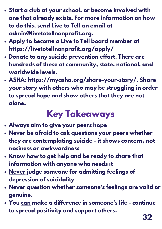- **Start a club at your school, or become involved with one that already exists. For more information on how to do this, send Live to Tell an email at [admin@livetotellnonprofit.org.](https://oregonalliancetopreventsuicide.org/)**
- **Apply to become a Live to Tell board member at [https://livetotellnonprofit.org/apply/](https://oregonalliancetopreventsuicide.org/)**
- **Donate to any suicide prevention effort. There are hundreds of these at [community,](https://oregonalliancetopreventsuicide.org/) state, national, and worldwide levels.**
- **ASHA: [https://myasha.org/share-your-story/.](https://oregonalliancetopreventsuicide.org/) Share your story with others who may be struggling in order to spread hope and show others that they are not alone.**

## **Key Takeaways**

- **Always aim to give your peers hope**
- **Never be afraid to ask questions your peers whether they are contemplating suicide - it shows concern, not nosiness or awkwardness**
- **Know how to get help and be ready to share that information with anyone who needs it**
- **Never judge someone for admitting feelings of depression of suicidality**
- **Never question whether someone's feelings are valid or genuine.**
- **You can make a difference in someone's life - continue to spread positivity and support others.**